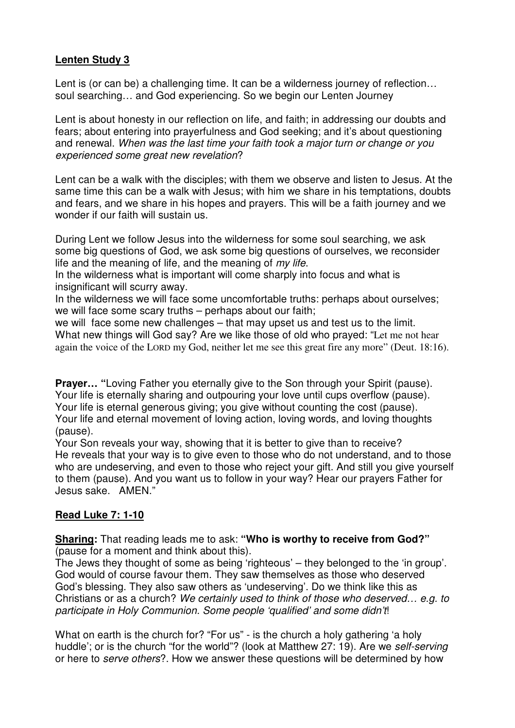## **Lenten Study 3**

Lent is (or can be) a challenging time. It can be a wilderness journey of reflection… soul searching… and God experiencing. So we begin our Lenten Journey

Lent is about honesty in our reflection on life, and faith; in addressing our doubts and fears; about entering into prayerfulness and God seeking; and it's about questioning and renewal. When was the last time your faith took a major turn or change or you experienced some great new revelation?

Lent can be a walk with the disciples; with them we observe and listen to Jesus. At the same time this can be a walk with Jesus; with him we share in his temptations, doubts and fears, and we share in his hopes and prayers. This will be a faith journey and we wonder if our faith will sustain us.

During Lent we follow Jesus into the wilderness for some soul searching, we ask some big questions of God, we ask some big questions of ourselves, we reconsider life and the meaning of life, and the meaning of  $m\gamma$  life.

In the wilderness what is important will come sharply into focus and what is insignificant will scurry away.

In the wilderness we will face some uncomfortable truths: perhaps about ourselves; we will face some scary truths – perhaps about our faith;

we will face some new challenges – that may upset us and test us to the limit. What new things will God say? Are we like those of old who prayed: "Let me not hear again the voice of the LORD my God, neither let me see this great fire any more" (Deut. 18:16).

**Prayer...** "Loving Father you eternally give to the Son through your Spirit (pause). Your life is eternally sharing and outpouring your love until cups overflow (pause). Your life is eternal generous giving; you give without counting the cost (pause). Your life and eternal movement of loving action, loving words, and loving thoughts (pause).

Your Son reveals your way, showing that it is better to give than to receive? He reveals that your way is to give even to those who do not understand, and to those who are undeserving, and even to those who reject your gift. And still you give yourself to them (pause). And you want us to follow in your way? Hear our prayers Father for Jesus sake. AMEN."

## **Read Luke 7: 1-10**

**Sharing:** That reading leads me to ask: **"Who is worthy to receive from God?"** (pause for a moment and think about this).

The Jews they thought of some as being 'righteous' – they belonged to the 'in group'. God would of course favour them. They saw themselves as those who deserved God's blessing. They also saw others as 'undeserving'. Do we think like this as Christians or as a church? We certainly used to think of those who deserved… e.g. to participate in Holy Communion. Some people 'qualified' and some didn't!

What on earth is the church for? "For us" - is the church a holy gathering 'a holy huddle'; or is the church "for the world"? (look at Matthew 27: 19). Are we self-serving or here to serve others?. How we answer these questions will be determined by how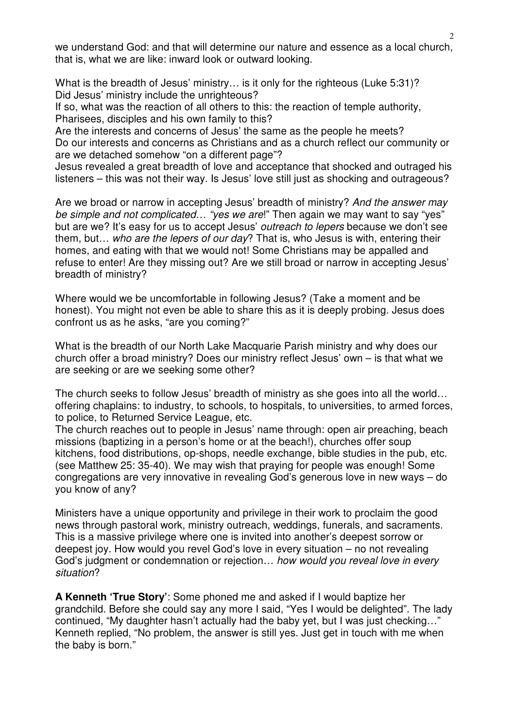we understand God: and that will determine our nature and essence as a local church, that is, what we are like: inward look or outward looking.

What is the breadth of Jesus' ministry... is it only for the righteous (Luke 5:31)? Did Jesus' ministry include the unrighteous?

If so, what was the reaction of all others to this: the reaction of temple authority, Pharisees, disciples and his own family to this?

Are the interests and concerns of Jesus' the same as the people he meets? Do our interests and concerns as Christians and as a church reflect our community or are we detached somehow "on a different page"?

Jesus revealed a great breadth of love and acceptance that shocked and outraged his listeners – this was not their way. Is Jesus' love still just as shocking and outrageous?

Are we broad or narrow in accepting Jesus' breadth of ministry? And the answer may be simple and not complicated... "yes we are!" Then again we may want to say "yes" but are we? It's easy for us to accept Jesus' outreach to lepers because we don't see them, but... who are the lepers of our day? That is, who Jesus is with, entering their homes, and eating with that we would not! Some Christians may be appalled and refuse to enter! Are they missing out? Are we still broad or narrow in accepting Jesus' breadth of ministry?

Where would we be uncomfortable in following Jesus? (Take a moment and be honest). You might not even be able to share this as it is deeply probing. Jesus does confront us as he asks, "are you coming?"

What is the breadth of our North Lake Macquarie Parish ministry and why does our church offer a broad ministry? Does our ministry reflect Jesus' own – is that what we are seeking or are we seeking some other?

The church seeks to follow Jesus' breadth of ministry as she goes into all the world… offering chaplains: to industry, to schools, to hospitals, to universities, to armed forces, to police, to Returned Service League, etc.

The church reaches out to people in Jesus' name through: open air preaching, beach missions (baptizing in a person's home or at the beach!), churches offer soup kitchens, food distributions, op-shops, needle exchange, bible studies in the pub, etc. (see Matthew 25: 35-40). We may wish that praying for people was enough! Some congregations are very innovative in revealing God's generous love in new ways – do you know of any?

Ministers have a unique opportunity and privilege in their work to proclaim the good news through pastoral work, ministry outreach, weddings, funerals, and sacraments. This is a massive privilege where one is invited into another's deepest sorrow or deepest joy. How would you revel God's love in every situation – no not revealing God's judgment or condemnation or rejection… how would you reveal love in every situation?

**A Kenneth 'True Story'**: Some phoned me and asked if I would baptize her grandchild. Before she could say any more I said, "Yes I would be delighted". The lady continued, "My daughter hasn't actually had the baby yet, but I was just checking…" Kenneth replied, "No problem, the answer is still yes. Just get in touch with me when the baby is born."